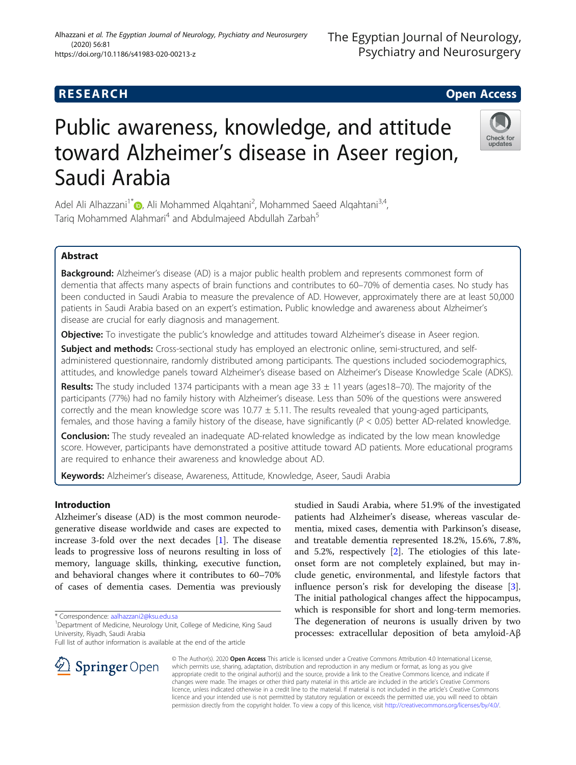## **RESEARCH CHE Open Access**

# Public awareness, knowledge, and attitude toward Alzheimer's disease in Aseer region, Saudi Arabia

Adel Ali Alhazzani<sup>1[\\*](http://orcid.org/0000-0002-9884-2243)</sup> (b, Ali Mohammed Alqahtani<sup>2</sup>, Mohammed Saeed Alqahtani<sup>3,4</sup>, Tarig Mohammed Alahmari<sup>4</sup> and Abdulmajeed Abdullah Zarbah<sup>5</sup>

## Abstract

Background: Alzheimer's disease (AD) is a major public health problem and represents commonest form of dementia that affects many aspects of brain functions and contributes to 60–70% of dementia cases. No study has been conducted in Saudi Arabia to measure the prevalence of AD. However, approximately there are at least 50,000 patients in Saudi Arabia based on an expert's estimation. Public knowledge and awareness about Alzheimer's disease are crucial for early diagnosis and management.

Objective: To investigate the public's knowledge and attitudes toward Alzheimer's disease in Aseer region.

Subject and methods: Cross-sectional study has employed an electronic online, semi-structured, and selfadministered questionnaire, randomly distributed among participants. The questions included sociodemographics, attitudes, and knowledge panels toward Alzheimer's disease based on Alzheimer's Disease Knowledge Scale (ADKS).

**Results:** The study included 1374 participants with a mean age  $33 \pm 11$  years (ages18–70). The majority of the participants (77%) had no family history with Alzheimer's disease. Less than 50% of the questions were answered correctly and the mean knowledge score was  $10.77 \pm 5.11$ . The results revealed that young-aged participants, females, and those having a family history of the disease, have significantly ( $P < 0.05$ ) better AD-related knowledge.

**Conclusion:** The study revealed an inadequate AD-related knowledge as indicated by the low mean knowledge score. However, participants have demonstrated a positive attitude toward AD patients. More educational programs are required to enhance their awareness and knowledge about AD.

Keywords: Alzheimer's disease, Awareness, Attitude, Knowledge, Aseer, Saudi Arabia

## Introduction

Alzheimer's disease (AD) is the most common neurodegenerative disease worldwide and cases are expected to increase 3-fold over the next decades [[1\]](#page-5-0). The disease leads to progressive loss of neurons resulting in loss of memory, language skills, thinking, executive function, and behavioral changes where it contributes to 60–70% of cases of dementia cases. Dementia was previously

\* Correspondence: [aalhazzani2@ksu.edu.sa](mailto:aalhazzani2@ksu.edu.sa) <sup>1</sup>

Full list of author information is available at the end of the article

patients had Alzheimer's disease, whereas vascular dementia, mixed cases, dementia with Parkinson's disease, and treatable dementia represented 18.2%, 15.6%, 7.8%, and 5.2%, respectively [[2\]](#page-5-0). The etiologies of this lateonset form are not completely explained, but may include genetic, environmental, and lifestyle factors that influence person's risk for developing the disease [\[3](#page-5-0)]. The initial pathological changes affect the hippocampus, which is responsible for short and long-term memories. The degeneration of neurons is usually driven by two processes: extracellular deposition of beta amyloid-Aβ

© The Author(s). 2020 Open Access This article is licensed under a Creative Commons Attribution 4.0 International License, which permits use, sharing, adaptation, distribution and reproduction in any medium or format, as long as you give appropriate credit to the original author(s) and the source, provide a link to the Creative Commons licence, and indicate if changes were made. The images or other third party material in this article are included in the article's Creative Commons licence, unless indicated otherwise in a credit line to the material. If material is not included in the article's Creative Commons licence and your intended use is not permitted by statutory regulation or exceeds the permitted use, you will need to obtain permission directly from the copyright holder. To view a copy of this licence, visit <http://creativecommons.org/licenses/by/4.0/>.

studied in Saudi Arabia, where 51.9% of the investigated





## Alhazzani et al. The Egyptian Journal of Neurology, Psychiatry and Neurosurgery (2020) 56:81 https://doi.org/10.1186/s41983-020-00213-z



<sup>&</sup>lt;sup>1</sup> Department of Medicine, Neurology Unit, College of Medicine, King Saud University, Riyadh, Saudi Arabia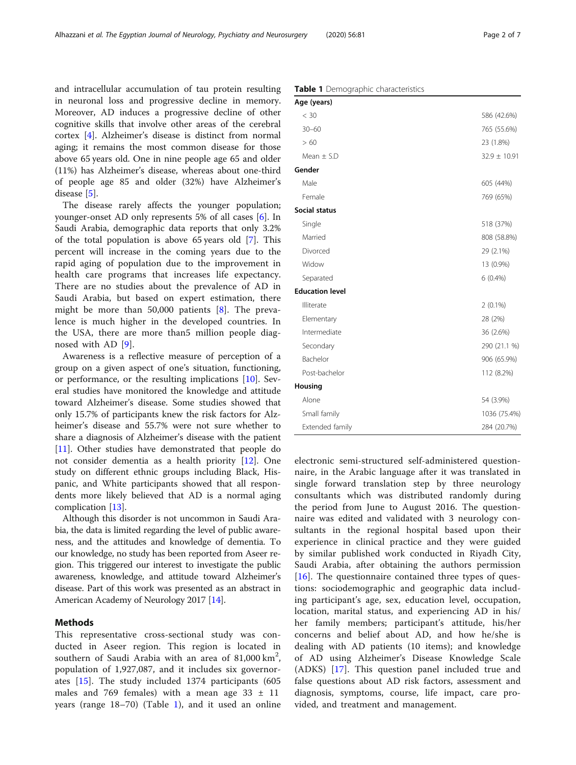and intracellular accumulation of tau protein resulting in neuronal loss and progressive decline in memory. Moreover, AD induces a progressive decline of other cognitive skills that involve other areas of the cerebral cortex [\[4\]](#page-5-0). Alzheimer's disease is distinct from normal aging; it remains the most common disease for those above 65 years old. One in nine people age 65 and older (11%) has Alzheimer's disease, whereas about one-third of people age 85 and older (32%) have Alzheimer's disease [\[5](#page-5-0)].

The disease rarely affects the younger population; younger-onset AD only represents 5% of all cases [\[6](#page-5-0)]. In Saudi Arabia, demographic data reports that only 3.2% of the total population is above 65 years old [\[7](#page-5-0)]. This percent will increase in the coming years due to the rapid aging of population due to the improvement in health care programs that increases life expectancy. There are no studies about the prevalence of AD in Saudi Arabia, but based on expert estimation, there might be more than 50,000 patients [[8\]](#page-5-0). The prevalence is much higher in the developed countries. In the USA, there are more than5 million people diagnosed with AD [[9\]](#page-5-0).

Awareness is a reflective measure of perception of a group on a given aspect of one's situation, functioning, or performance, or the resulting implications [[10\]](#page-6-0). Several studies have monitored the knowledge and attitude toward Alzheimer's disease. Some studies showed that only 15.7% of participants knew the risk factors for Alzheimer's disease and 55.7% were not sure whether to share a diagnosis of Alzheimer's disease with the patient [[11\]](#page-6-0). Other studies have demonstrated that people do not consider dementia as a health priority [\[12](#page-6-0)]. One study on different ethnic groups including Black, Hispanic, and White participants showed that all respondents more likely believed that AD is a normal aging complication [[13\]](#page-6-0).

Although this disorder is not uncommon in Saudi Arabia, the data is limited regarding the level of public awareness, and the attitudes and knowledge of dementia. To our knowledge, no study has been reported from Aseer region. This triggered our interest to investigate the public awareness, knowledge, and attitude toward Alzheimer's disease. Part of this work was presented as an abstract in American Academy of Neurology 2017 [[14](#page-6-0)].

## Methods

This representative cross-sectional study was conducted in Aseer region. This region is located in southern of Saudi Arabia with an area of  $81,000 \text{ km}^2$ , population of 1,927,087, and it includes six governorates [\[15](#page-6-0)]. The study included 1374 participants (605 males and 769 females) with a mean age  $33 \pm 11$ years (range 18–70) (Table 1), and it used an online

Table 1 Demographic characteristics

| Age (years)            |                  |
|------------------------|------------------|
| < 30                   | 586 (42.6%)      |
| $30 - 60$              | 765 (55.6%)      |
| > 60                   | 23 (1.8%)        |
| Mean $\pm$ S.D         | $32.9 \pm 10.91$ |
| Gender                 |                  |
| Male                   | 605 (44%)        |
| Female                 | 769 (65%)        |
| Social status          |                  |
| Single                 | 518 (37%)        |
| Married                | 808 (58.8%)      |
| Divorced               | 29 (2.1%)        |
| Widow                  | 13 (0.9%)        |
| Separated              | $6(0.4\%)$       |
| <b>Education level</b> |                  |
| Illiterate             | $2(0.1\%)$       |
| Elementary             | 28 (2%)          |
| Intermediate           | 36 (2.6%)        |
| Secondary              | 290 (21.1 %)     |
| Bachelor               | 906 (65.9%)      |
| Post-bachelor          | 112 (8.2%)       |
| Housing                |                  |
| Alone                  | 54 (3.9%)        |
| Small family           | 1036 (75.4%)     |
| Extended family        | 284 (20.7%)      |

electronic semi-structured self-administered questionnaire, in the Arabic language after it was translated in single forward translation step by three neurology consultants which was distributed randomly during the period from June to August 2016. The questionnaire was edited and validated with 3 neurology consultants in the regional hospital based upon their experience in clinical practice and they were guided by similar published work conducted in Riyadh City, Saudi Arabia, after obtaining the authors permission [[16\]](#page-6-0). The questionnaire contained three types of questions: sociodemographic and geographic data including participant's age, sex, education level, occupation, location, marital status, and experiencing AD in his/ her family members; participant's attitude, his/her concerns and belief about AD, and how he/she is dealing with AD patients (10 items); and knowledge of AD using Alzheimer's Disease Knowledge Scale (ADKS) [[17\]](#page-6-0). This question panel included true and false questions about AD risk factors, assessment and diagnosis, symptoms, course, life impact, care provided, and treatment and management.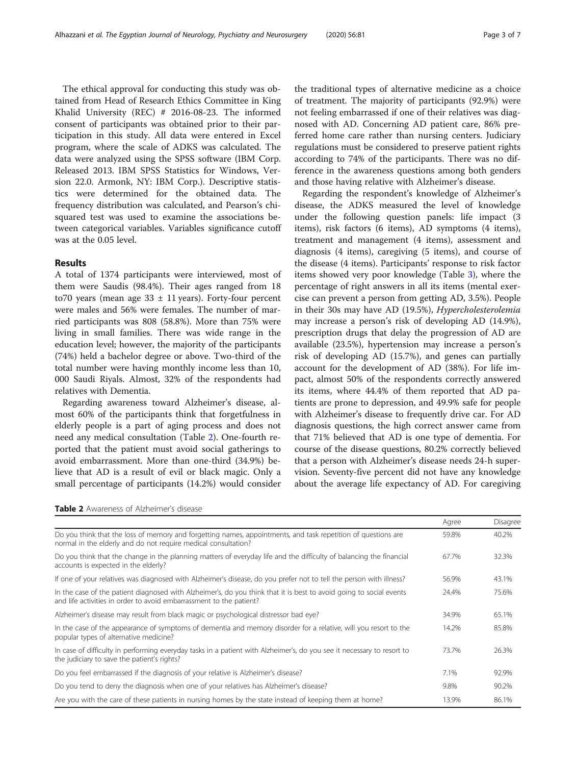The ethical approval for conducting this study was obtained from Head of Research Ethics Committee in King Khalid University (REC) # 2016-08-23. The informed consent of participants was obtained prior to their participation in this study. All data were entered in Excel program, where the scale of ADKS was calculated. The data were analyzed using the SPSS software (IBM Corp. Released 2013. IBM SPSS Statistics for Windows, Version 22.0. Armonk, NY: IBM Corp.). Descriptive statistics were determined for the obtained data. The frequency distribution was calculated, and Pearson's chisquared test was used to examine the associations between categorical variables. Variables significance cutoff was at the 0.05 level.

## Results

A total of 1374 participants were interviewed, most of them were Saudis (98.4%). Their ages ranged from 18 to70 years (mean age  $33 \pm 11$  years). Forty-four percent were males and 56% were females. The number of married participants was 808 (58.8%). More than 75% were living in small families. There was wide range in the education level; however, the majority of the participants (74%) held a bachelor degree or above. Two-third of the total number were having monthly income less than 10, 000 Saudi Riyals. Almost, 32% of the respondents had relatives with Dementia.

Regarding awareness toward Alzheimer's disease, almost 60% of the participants think that forgetfulness in elderly people is a part of aging process and does not need any medical consultation (Table 2). One-fourth reported that the patient must avoid social gatherings to avoid embarrassment. More than one-third (34.9%) believe that AD is a result of evil or black magic. Only a small percentage of participants (14.2%) would consider

the traditional types of alternative medicine as a choice of treatment. The majority of participants (92.9%) were not feeling embarrassed if one of their relatives was diagnosed with AD. Concerning AD patient care, 86% preferred home care rather than nursing centers. Judiciary regulations must be considered to preserve patient rights according to 74% of the participants. There was no difference in the awareness questions among both genders and those having relative with Alzheimer's disease.

Regarding the respondent's knowledge of Alzheimer's disease, the ADKS measured the level of knowledge under the following question panels: life impact (3 items), risk factors (6 items), AD symptoms (4 items), treatment and management (4 items), assessment and diagnosis (4 items), caregiving (5 items), and course of the disease (4 items). Participants' response to risk factor items showed very poor knowledge (Table [3\)](#page-3-0), where the percentage of right answers in all its items (mental exercise can prevent a person from getting AD, 3.5%). People in their 30s may have AD (19.5%), Hypercholesterolemia may increase a person's risk of developing AD (14.9%), prescription drugs that delay the progression of AD are available (23.5%), hypertension may increase a person's risk of developing AD (15.7%), and genes can partially account for the development of AD (38%). For life impact, almost 50% of the respondents correctly answered its items, where 44.4% of them reported that AD patients are prone to depression, and 49.9% safe for people with Alzheimer's disease to frequently drive car. For AD diagnosis questions, the high correct answer came from that 71% believed that AD is one type of dementia. For course of the disease questions, 80.2% correctly believed that a person with Alzheimer's disease needs 24-h supervision. Seventy-five percent did not have any knowledge about the average life expectancy of AD. For caregiving

| <b>Table 2</b> Awareness of Alzheimer's disease |  |
|-------------------------------------------------|--|
|                                                 |  |

|                                                                                                                                                                                            | Agree | Disagree |
|--------------------------------------------------------------------------------------------------------------------------------------------------------------------------------------------|-------|----------|
| Do you think that the loss of memory and forgetting names, appointments, and task repetition of questions are<br>normal in the elderly and do not require medical consultation?            | 59.8% | 40.2%    |
| Do you think that the change in the planning matters of everyday life and the difficulty of balancing the financial<br>accounts is expected in the elderly?                                | 67.7% | 32.3%    |
| If one of your relatives was diagnosed with Alzheimer's disease, do you prefer not to tell the person with illness?                                                                        | 56.9% | 43.1%    |
| In the case of the patient diagnosed with Alzheimer's, do you think that it is best to avoid going to social events<br>and life activities in order to avoid embarrassment to the patient? | 24.4% | 75.6%    |
| Alzheimer's disease may result from black magic or psychological distressor bad eye?                                                                                                       | 34.9% | 65.1%    |
| In the case of the appearance of symptoms of dementia and memory disorder for a relative, will you resort to the<br>popular types of alternative medicine?                                 | 14.2% | 85.8%    |
| In case of difficulty in performing everyday tasks in a patient with Alzheimer's, do you see it necessary to resort to<br>the judiciary to save the patient's rights?                      | 73.7% | 26.3%    |
| Do you feel embarrassed if the diagnosis of your relative is Alzheimer's disease?                                                                                                          | 7.1%  | 92.9%    |
| Do you tend to deny the diagnosis when one of your relatives has Alzheimer's disease?                                                                                                      | 9.8%  | 90.2%    |
| Are you with the care of these patients in nursing homes by the state instead of keeping them at home?                                                                                     | 13.9% | 86.1%    |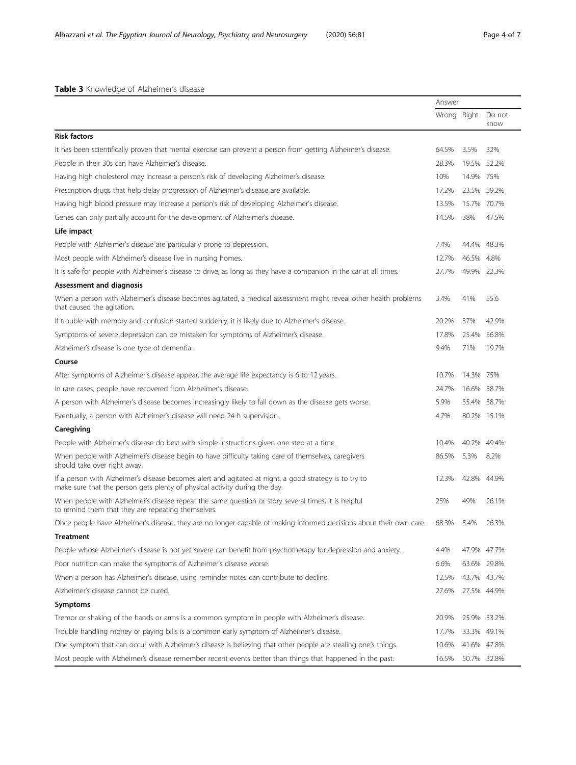<span id="page-3-0"></span>

|                                                                                                                                                                                      | Answer      |             |                |
|--------------------------------------------------------------------------------------------------------------------------------------------------------------------------------------|-------------|-------------|----------------|
|                                                                                                                                                                                      | Wrong Right |             | Do not<br>know |
| <b>Risk factors</b>                                                                                                                                                                  |             |             |                |
| It has been scientifically proven that mental exercise can prevent a person from getting Alzheimer's disease.                                                                        | 64.5%       | 3.5%        | 32%            |
| People in their 30s can have Alzheimer's disease.                                                                                                                                    | 28.3%       |             | 19.5% 52.2%    |
| Having high cholesterol may increase a person's risk of developing Alzheimer's disease.                                                                                              | 10%         | 14.9% 75%   |                |
| Prescription drugs that help delay progression of Alzheimer's disease are available.                                                                                                 | 17.2%       | 23.5% 59.2% |                |
| Having high blood pressure may increase a person's risk of developing Alzheimer's disease.                                                                                           | 13.5%       |             | 15.7% 70.7%    |
| Genes can only partially account for the development of Alzheimer's disease.                                                                                                         | 14.5%       | 38%         | 47.5%          |
| Life impact                                                                                                                                                                          |             |             |                |
| People with Alzheimer's disease are particularly prone to depression.                                                                                                                | 7.4%        | 44.4% 48.3% |                |
| Most people with Alzheimer's disease live in nursing homes.                                                                                                                          | 12.7%       | 46.5% 4.8%  |                |
| It is safe for people with Alzheimer's disease to drive, as long as they have a companion in the car at all times.                                                                   | 27.7%       | 49.9% 22.3% |                |
| <b>Assessment and diagnosis</b>                                                                                                                                                      |             |             |                |
| When a person with Alzheimer's disease becomes agitated, a medical assessment might reveal other health problems<br>that caused the agitation.                                       | 3.4%        | 41%         | 55.6           |
| If trouble with memory and confusion started suddenly, it is likely due to Alzheimer's disease.                                                                                      | 20.2%       | 37%         | 42.9%          |
| Symptoms of severe depression can be mistaken for symptoms of Alzheimer's disease.                                                                                                   | 17.8%       | 25.4% 56.8% |                |
| Alzheimer's disease is one type of dementia.                                                                                                                                         | 9.4%        | 71%         | 19.7%          |
| Course                                                                                                                                                                               |             |             |                |
| After symptoms of Alzheimer's disease appear, the average life expectancy is 6 to 12 years.                                                                                          | 10.7%       | 14.3% 75%   |                |
| In rare cases, people have recovered from Alzheimer's disease.                                                                                                                       | 24.7%       |             | 16.6% 58.7%    |
| A person with Alzheimer's disease becomes increasingly likely to fall down as the disease gets worse.                                                                                | 5.9%        |             | 55.4% 38.7%    |
| Eventually, a person with Alzheimer's disease will need 24-h supervision.                                                                                                            | 4.7%        |             | 80.2% 15.1%    |
| Caregiving                                                                                                                                                                           |             |             |                |
| People with Alzheimer's disease do best with simple instructions given one step at a time.                                                                                           | 10.4%       | 40.2% 49.4% |                |
| When people with Alzheimer's disease begin to have difficulty taking care of themselves, caregivers<br>should take over right away.                                                  | 86.5%       | 5.3%        | 8.2%           |
| If a person with Alzheimer's disease becomes alert and agitated at night, a good strategy is to try to<br>make sure that the person gets plenty of physical activity during the day. | 12.3%       | 42.8% 44.9% |                |
| When people with Alzheimer's disease repeat the same question or story several times, it is helpful<br>to remind them that they are repeating themselves.                            | 25%         | 49%         | 26.1%          |
| Once people have Alzheimer's disease, they are no longer capable of making informed decisions about their own care.                                                                  | 68.3%       | 5.4%        | 26.3%          |
| <b>Treatment</b>                                                                                                                                                                     |             |             |                |
| People whose Alzheimer's disease is not yet severe can benefit from psychotherapy for depression and anxiety.                                                                        | 4.4%        |             | 47.9% 47.7%    |
| Poor nutrition can make the symptoms of Alzheimer's disease worse.                                                                                                                   | 6.6%        |             | 63.6% 29.8%    |
| When a person has Alzheimer's disease, using reminder notes can contribute to decline.                                                                                               | 12.5%       | 43.7% 43.7% |                |
| Alzheimer's disease cannot be cured.                                                                                                                                                 | 27.6%       |             | 27.5% 44.9%    |
| Symptoms                                                                                                                                                                             |             |             |                |
| Tremor or shaking of the hands or arms is a common symptom in people with Alzheimer's disease.                                                                                       | 20.9%       |             | 25.9% 53.2%    |
| Trouble handling money or paying bills is a common early symptom of Alzheimer's disease.                                                                                             | 17.7%       |             | 33.3% 49.1%    |
| One symptom that can occur with Alzheimer's disease is believing that other people are stealing one's things.                                                                        | 10.6%       | 41.6% 47.8% |                |
| Most people with Alzheimer's disease remember recent events better than things that happened in the past.                                                                            | 16.5%       | 50.7% 32.8% |                |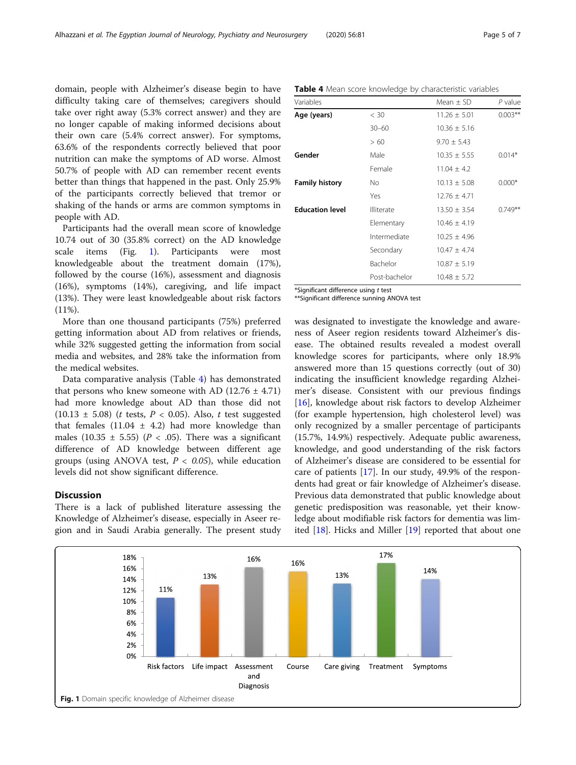domain, people with Alzheimer's disease begin to have difficulty taking care of themselves; caregivers should take over right away (5.3% correct answer) and they are no longer capable of making informed decisions about their own care (5.4% correct answer). For symptoms, 63.6% of the respondents correctly believed that poor nutrition can make the symptoms of AD worse. Almost 50.7% of people with AD can remember recent events better than things that happened in the past. Only 25.9% of the participants correctly believed that tremor or shaking of the hands or arms are common symptoms in people with AD.

Participants had the overall mean score of knowledge 10.74 out of 30 (35.8% correct) on the AD knowledge scale items (Fig. 1). Participants were most knowledgeable about the treatment domain (17%), followed by the course (16%), assessment and diagnosis (16%), symptoms (14%), caregiving, and life impact (13%). They were least knowledgeable about risk factors (11%).

More than one thousand participants (75%) preferred getting information about AD from relatives or friends, while 32% suggested getting the information from social media and websites, and 28% take the information from the medical websites.

Data comparative analysis (Table 4) has demonstrated that persons who knew someone with AD  $(12.76 \pm 4.71)$ had more knowledge about AD than those did not  $(10.13 \pm 5.08)$  (*t* tests, *P* < 0.05). Also, *t* test suggested that females  $(11.04 \pm 4.2)$  had more knowledge than males (10.35  $\pm$  5.55) (P < .05). There was a significant difference of AD knowledge between different age groups (using ANOVA test,  $P < 0.05$ ), while education levels did not show significant difference.

## **Discussion**

There is a lack of published literature assessing the Knowledge of Alzheimer's disease, especially in Aseer region and in Saudi Arabia generally. The present study

| Variables              |            | $Mean + SD$    | P value   |
|------------------------|------------|----------------|-----------|
| Age (years)            | < 30       | $11.26 + 5.01$ | $0.003**$ |
|                        | $30 - 60$  | $10.36 + 5.16$ |           |
|                        | >60        | $9.70 + 5.43$  |           |
| Gender                 | Male       | $10.35 + 5.55$ | $0.014*$  |
|                        | Female     | $11.04 + 4.2$  |           |
| <b>Family history</b>  | Νo         | $10.13 + 5.08$ | $0.000*$  |
|                        | Yes        | $12.76 + 4.71$ |           |
| <b>Education level</b> | Illiterate | $13.50 + 3.54$ | $0.749**$ |

Table 4 Mean score knowledge by characteristic variables

| <b>Family history</b>  | No           | $10.13 \pm 5.08$ |
|------------------------|--------------|------------------|
|                        | Yes          | $12.76 + 4.71$   |
| <b>Education level</b> | Illiterate   | $13.50 + 3.54$   |
|                        | Elementary   | $10.46 + 4.19$   |
|                        | Intermediate | $10.25 + 4.96$   |
|                        | Secondary    | $10.47 + 4.74$   |
|                        | Bachelor     | $10.87 + 5.19$   |

\*Significant difference using t test

\*\*Significant difference sunning ANOVA test

was designated to investigate the knowledge and awareness of Aseer region residents toward Alzheimer's disease. The obtained results revealed a modest overall knowledge scores for participants, where only 18.9% answered more than 15 questions correctly (out of 30) indicating the insufficient knowledge regarding Alzheimer's disease. Consistent with our previous findings [[16\]](#page-6-0), knowledge about risk factors to develop Alzheimer (for example hypertension, high cholesterol level) was only recognized by a smaller percentage of participants (15.7%, 14.9%) respectively. Adequate public awareness, knowledge, and good understanding of the risk factors of Alzheimer's disease are considered to be essential for care of patients [[17](#page-6-0)]. In our study, 49.9% of the respondents had great or fair knowledge of Alzheimer's disease. Previous data demonstrated that public knowledge about genetic predisposition was reasonable, yet their knowledge about modifiable risk factors for dementia was limited [[18\]](#page-6-0). Hicks and Miller [\[19](#page-6-0)] reported that about one

Post-bachelor 10.48 ± 5.72

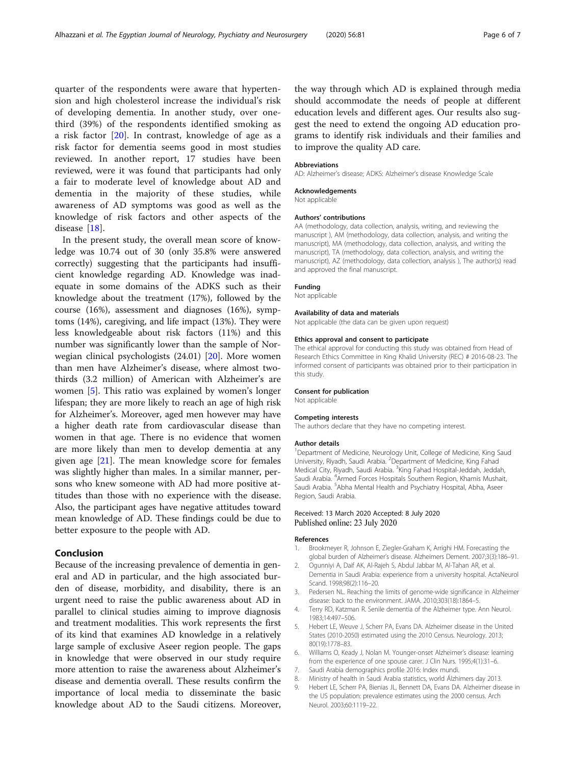<span id="page-5-0"></span>quarter of the respondents were aware that hypertension and high cholesterol increase the individual's risk of developing dementia. In another study, over onethird (39%) of the respondents identified smoking as a risk factor [[20](#page-6-0)]. In contrast, knowledge of age as a risk factor for dementia seems good in most studies reviewed. In another report, 17 studies have been reviewed, were it was found that participants had only a fair to moderate level of knowledge about AD and dementia in the majority of these studies, while awareness of AD symptoms was good as well as the knowledge of risk factors and other aspects of the disease [[18](#page-6-0)].

In the present study, the overall mean score of knowledge was 10.74 out of 30 (only 35.8% were answered correctly) suggesting that the participants had insufficient knowledge regarding AD. Knowledge was inadequate in some domains of the ADKS such as their knowledge about the treatment (17%), followed by the course (16%), assessment and diagnoses (16%), symptoms (14%), caregiving, and life impact (13%). They were less knowledgeable about risk factors (11%) and this number was significantly lower than the sample of Norwegian clinical psychologists (24.01) [\[20\]](#page-6-0). More women than men have Alzheimer's disease, where almost twothirds (3.2 million) of American with Alzheimer's are women [5]. This ratio was explained by women's longer lifespan; they are more likely to reach an age of high risk for Alzheimer's. Moreover, aged men however may have a higher death rate from cardiovascular disease than women in that age. There is no evidence that women are more likely than men to develop dementia at any given age [[21](#page-6-0)]. The mean knowledge score for females was slightly higher than males. In a similar manner, persons who knew someone with AD had more positive attitudes than those with no experience with the disease. Also, the participant ages have negative attitudes toward mean knowledge of AD. These findings could be due to better exposure to the people with AD.

## Conclusion

Because of the increasing prevalence of dementia in general and AD in particular, and the high associated burden of disease, morbidity, and disability, there is an urgent need to raise the public awareness about AD in parallel to clinical studies aiming to improve diagnosis and treatment modalities. This work represents the first of its kind that examines AD knowledge in a relatively large sample of exclusive Aseer region people. The gaps in knowledge that were observed in our study require more attention to raise the awareness about Alzheimer's disease and dementia overall. These results confirm the importance of local media to disseminate the basic knowledge about AD to the Saudi citizens. Moreover, the way through which AD is explained through media should accommodate the needs of people at different education levels and different ages. Our results also suggest the need to extend the ongoing AD education programs to identify risk individuals and their families and to improve the quality AD care.

#### Abbreviations

AD: Alzheimer's disease; ADKS: Alzheimer's disease Knowledge Scale

## Acknowledgements

Not applicable

#### Authors' contributions

AA (methodology, data collection, analysis, writing, and reviewing the manuscript ), AM (methodology, data collection, analysis, and writing the manuscript), MA (methodology, data collection, analysis, and writing the manuscript), TA (methodology, data collection, analysis, and writing the manuscript), AZ (methodology, data collection, analysis ), The author(s) read and approved the final manuscript.

#### Funding

Not applicable

#### Availability of data and materials

Not applicable (the data can be given upon request)

#### Ethics approval and consent to participate

The ethical approval for conducting this study was obtained from Head of Research Ethics Committee in King Khalid University (REC) # 2016-08-23. The informed consent of participants was obtained prior to their participation in this study.

#### Consent for publication

Not applicable

#### Competing interests

The authors declare that they have no competing interest.

#### Author details

<sup>1</sup>Department of Medicine, Neurology Unit, College of Medicine, King Saud University, Riyadh, Saudi Arabia. <sup>2</sup>Department of Medicine, King Fahad Medical City, Riyadh, Saudi Arabia. <sup>3</sup>King Fahad Hospital-Jeddah, Jeddah Saudi Arabia. <sup>4</sup>Armed Forces Hospitals Southern Region, Khamis Mushait Saudi Arabia. <sup>5</sup>Abha Mental Health and Psychiatry Hospital, Abha, Aseer Region, Saudi Arabia.

### Received: 13 March 2020 Accepted: 8 July 2020 Published online: 23 July 2020

#### References

- 1. Brookmeyer R, Johnson E, Ziegler-Graham K, Arrighi HM. Forecasting the global burden of Alzheimer's disease. Alzheimers Dement. 2007;3(3):186–91.
- 2. Ogunniyi A, Daif AK, Al-Rajeh S, Abdul Jabbar M, Al-Tahan AR, et al. Dementia in Saudi Arabia: experience from a university hospital. ActaNeurol Scand. 1998;98(2):116–20.
- 3. Pedersen NL. Reaching the limits of genome-wide significance in Alzheimer disease: back to the environment. JAMA. 2010;303(18):1864–5.
- 4. Terry RD, Katzman R. Senile dementia of the Alzheimer type. Ann Neurol. 1983;14:497–506.
- Hebert LE, Weuve J, Scherr PA, Evans DA. Alzheimer disease in the United States (2010-2050) estimated using the 2010 Census. Neurology. 2013; 80(19):1778–83.
- 6. Williams O, Keady J, Nolan M. Younger-onset Alzheimer's disease: learning from the experience of one spouse carer. J Clin Nurs. 1995;4(1):31–6.
- 7. Saudi Arabia demographics profile 2016: Index mundi.
- 8. Ministry of health in Saudi Arabia statistics, world Álzhimers day 2013.
- 9. Hebert LE, Scherr PA, Bienias JL, Bennett DA, Evans DA. Alzheimer disease in the US population: prevalence estimates using the 2000 census. Arch Neurol. 2003;60:1119–22.